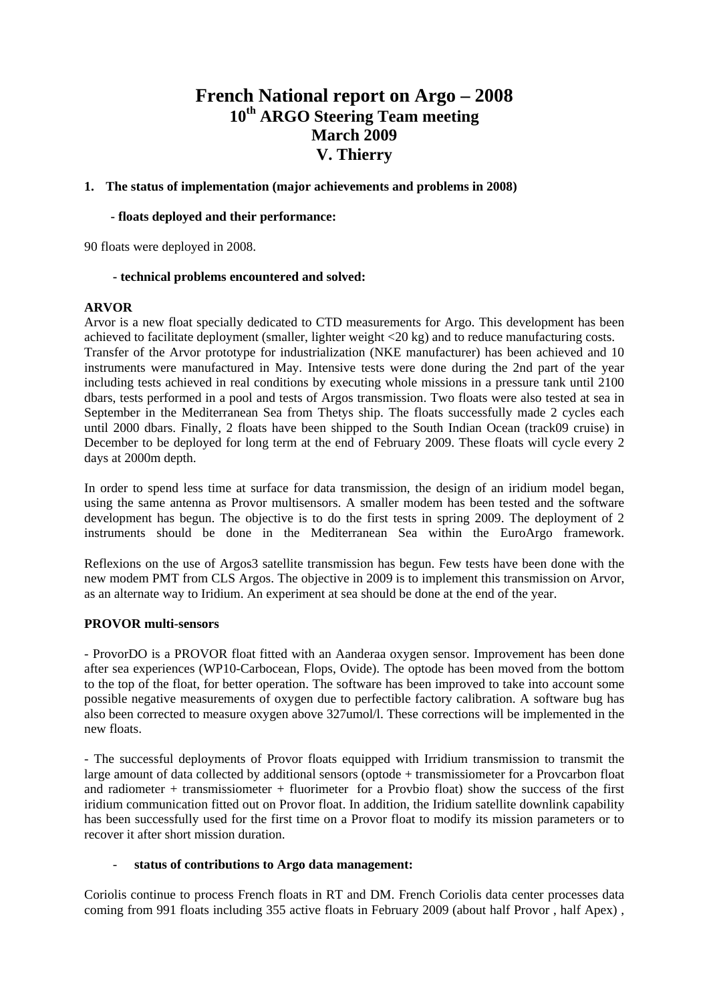# **French National report on Argo – 2008 10th ARGO Steering Team meeting March 2009 V. Thierry**

## **1. The status of implementation (major achievements and problems in 2008)**

#### **- floats deployed and their performance:**

90 floats were deployed in 2008.

#### **- technical problems encountered and solved:**

#### **ARVOR**

Arvor is a new float specially dedicated to CTD measurements for Argo. This development has been achieved to facilitate deployment (smaller, lighter weight <20 kg) and to reduce manufacturing costs. Transfer of the Arvor prototype for industrialization (NKE manufacturer) has been achieved and 10 instruments were manufactured in May. Intensive tests were done during the 2nd part of the year including tests achieved in real conditions by executing whole missions in a pressure tank until 2100 dbars, tests performed in a pool and tests of Argos transmission. Two floats were also tested at sea in September in the Mediterranean Sea from Thetys ship. The floats successfully made 2 cycles each until 2000 dbars. Finally, 2 floats have been shipped to the South Indian Ocean (track09 cruise) in December to be deployed for long term at the end of February 2009. These floats will cycle every 2 days at 2000m depth.

In order to spend less time at surface for data transmission, the design of an iridium model began, using the same antenna as Provor multisensors. A smaller modem has been tested and the software development has begun. The objective is to do the first tests in spring 2009. The deployment of 2 instruments should be done in the Mediterranean Sea within the EuroArgo framework.

Reflexions on the use of Argos3 satellite transmission has begun. Few tests have been done with the new modem PMT from CLS Argos. The objective in 2009 is to implement this transmission on Arvor, as an alternate way to Iridium. An experiment at sea should be done at the end of the year.

## **PROVOR multi-sensors**

- ProvorDO is a PROVOR float fitted with an Aanderaa oxygen sensor. Improvement has been done after sea experiences (WP10-Carbocean, Flops, Ovide). The optode has been moved from the bottom to the top of the float, for better operation. The software has been improved to take into account some possible negative measurements of oxygen due to perfectible factory calibration. A software bug has also been corrected to measure oxygen above 327umol/l. These corrections will be implemented in the new floats.

- The successful deployments of Provor floats equipped with Irridium transmission to transmit the large amount of data collected by additional sensors (optode + transmissiometer for a Provcarbon float and radiometer + transmissiometer + fluorimeter for a Provbio float) show the success of the first iridium communication fitted out on Provor float. In addition, the Iridium satellite downlink capability has been successfully used for the first time on a Provor float to modify its mission parameters or to recover it after short mission duration.

#### - **status of contributions to Argo data management:**

Coriolis continue to process French floats in RT and DM. French Coriolis data center processes data coming from 991 floats including 355 active floats in February 2009 (about half Provor , half Apex) ,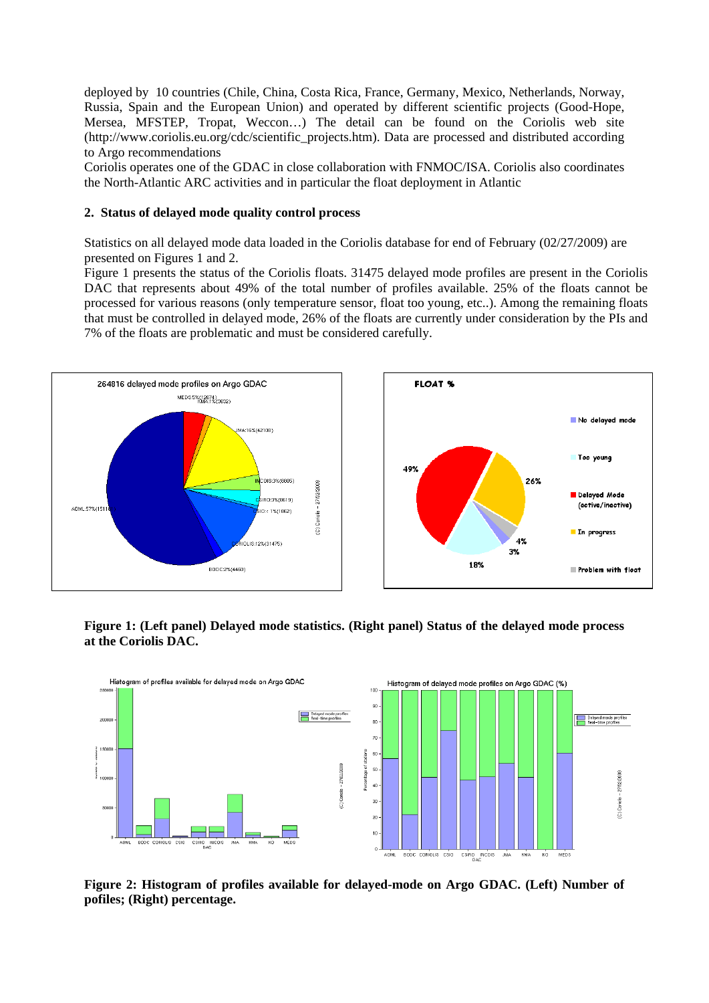deployed by 10 countries (Chile, China, Costa Rica, France, Germany, Mexico, Netherlands, Norway, Russia, Spain and the European Union) and operated by different scientific projects (Good-Hope, Mersea, MFSTEP, Tropat, Weccon…) The detail can be found on the Coriolis web site (http://www.coriolis.eu.org/cdc/scientific\_projects.htm). Data are processed and distributed according to Argo recommendations

Coriolis operates one of the GDAC in close collaboration with FNMOC/ISA. Coriolis also coordinates the North-Atlantic ARC activities and in particular the float deployment in Atlantic

## **2. Status of delayed mode quality control process**

Statistics on all delayed mode data loaded in the Coriolis database for end of February (02/27/2009) are presented on Figures 1 and 2.

Figure 1 presents the status of the Coriolis floats. 31475 delayed mode profiles are present in the Coriolis DAC that represents about 49% of the total number of profiles available. 25% of the floats cannot be processed for various reasons (only temperature sensor, float too young, etc..). Among the remaining floats that must be controlled in delayed mode, 26% of the floats are currently under consideration by the PIs and 7% of the floats are problematic and must be considered carefully.





**Figure 1: (Left panel) Delayed mode statistics. (Right panel) Status of the delayed mode process at the Coriolis DAC.** 



**Figure 2: Histogram of profiles available for delayed-mode on Argo GDAC. (Left) Number of pofiles; (Right) percentage.**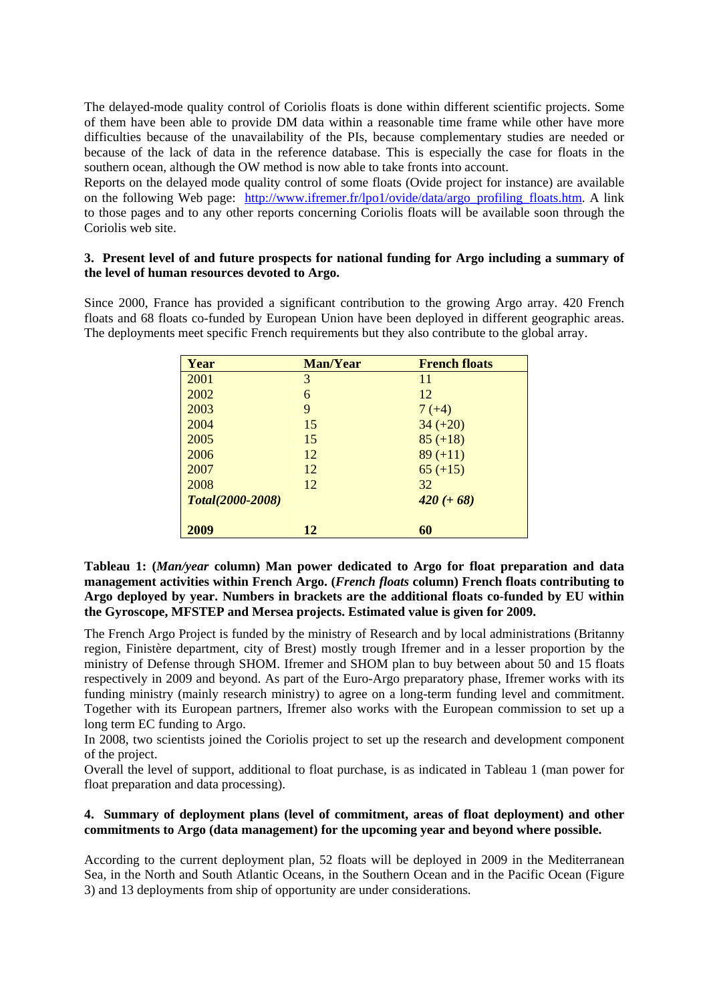The delayed-mode quality control of Coriolis floats is done within different scientific projects. Some of them have been able to provide DM data within a reasonable time frame while other have more difficulties because of the unavailability of the PIs, because complementary studies are needed or because of the lack of data in the reference database. This is especially the case for floats in the southern ocean, although the OW method is now able to take fronts into account.

Reports on the delayed mode quality control of some floats (Ovide project for instance) are available on the following Web page: http://www.ifremer.fr/lpo1/ovide/data/argo\_profiling\_floats.htm. A link to those pages and to any other reports concerning Coriolis floats will be available soon through the Coriolis web site.

# **3. Present level of and future prospects for national funding for Argo including a summary of the level of human resources devoted to Argo.**

Since 2000, France has provided a significant contribution to the growing Argo array. 420 French floats and 68 floats co-funded by European Union have been deployed in different geographic areas. The deployments meet specific French requirements but they also contribute to the global array.

| Year                    | <b>Man/Year</b> | <b>French floats</b> |
|-------------------------|-----------------|----------------------|
| 2001                    | 3               | 11                   |
| 2002                    | 6               | 12                   |
| 2003                    | 9               | $7(+4)$              |
| 2004                    | 15              | $34 (+20)$           |
| 2005                    | 15              | $85 (+18)$           |
| 2006                    | 12              | $89 (+11)$           |
| 2007                    | 12              | $65 (+15)$           |
| 2008                    | 12              | 32                   |
| <b>Total(2000-2008)</b> |                 | $420 (+ 68)$         |
| 2009                    | 12              | 60                   |

**Tableau 1: (***Man/year* **column) Man power dedicated to Argo for float preparation and data management activities within French Argo. (***French floats* **column) French floats contributing to Argo deployed by year. Numbers in brackets are the additional floats co-funded by EU within the Gyroscope, MFSTEP and Mersea projects. Estimated value is given for 2009.** 

The French Argo Project is funded by the ministry of Research and by local administrations (Britanny region, Finistère department, city of Brest) mostly trough Ifremer and in a lesser proportion by the ministry of Defense through SHOM. Ifremer and SHOM plan to buy between about 50 and 15 floats respectively in 2009 and beyond. As part of the Euro-Argo preparatory phase, Ifremer works with its funding ministry (mainly research ministry) to agree on a long-term funding level and commitment. Together with its European partners, Ifremer also works with the European commission to set up a long term EC funding to Argo.

In 2008, two scientists joined the Coriolis project to set up the research and development component of the project.

Overall the level of support, additional to float purchase, is as indicated in Tableau 1 (man power for float preparation and data processing).

## **4. Summary of deployment plans (level of commitment, areas of float deployment) and other commitments to Argo (data management) for the upcoming year and beyond where possible.**

According to the current deployment plan, 52 floats will be deployed in 2009 in the Mediterranean Sea, in the North and South Atlantic Oceans, in the Southern Ocean and in the Pacific Ocean (Figure 3) and 13 deployments from ship of opportunity are under considerations.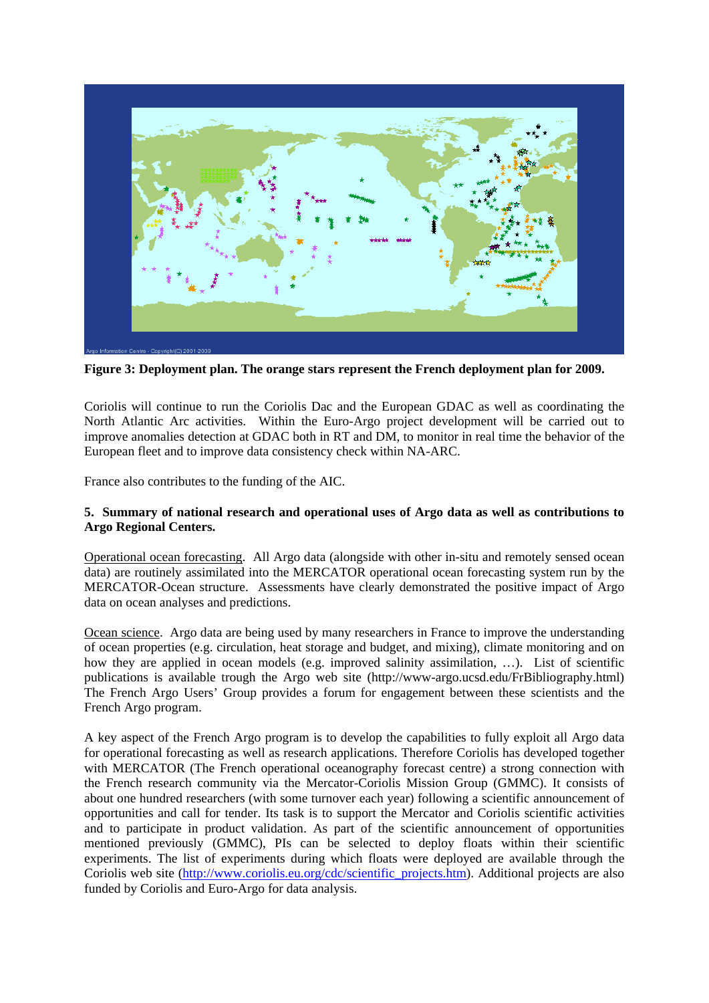

**Figure 3: Deployment plan. The orange stars represent the French deployment plan for 2009.** 

Coriolis will continue to run the Coriolis Dac and the European GDAC as well as coordinating the North Atlantic Arc activities. Within the Euro-Argo project development will be carried out to improve anomalies detection at GDAC both in RT and DM, to monitor in real time the behavior of the European fleet and to improve data consistency check within NA-ARC.

France also contributes to the funding of the AIC.

# **5. Summary of national research and operational uses of Argo data as well as contributions to Argo Regional Centers.**

Operational ocean forecasting. All Argo data (alongside with other in-situ and remotely sensed ocean data) are routinely assimilated into the MERCATOR operational ocean forecasting system run by the MERCATOR-Ocean structure. Assessments have clearly demonstrated the positive impact of Argo data on ocean analyses and predictions.

Ocean science. Argo data are being used by many researchers in France to improve the understanding of ocean properties (e.g. circulation, heat storage and budget, and mixing), climate monitoring and on how they are applied in ocean models (e.g. improved salinity assimilation, ...). List of scientific publications is available trough the Argo web site (http://www-argo.ucsd.edu/FrBibliography.html) The French Argo Users' Group provides a forum for engagement between these scientists and the French Argo program.

A key aspect of the French Argo program is to develop the capabilities to fully exploit all Argo data for operational forecasting as well as research applications. Therefore Coriolis has developed together with MERCATOR (The French operational oceanography forecast centre) a strong connection with the French research community via the Mercator-Coriolis Mission Group (GMMC). It consists of about one hundred researchers (with some turnover each year) following a scientific announcement of opportunities and call for tender. Its task is to support the Mercator and Coriolis scientific activities and to participate in product validation. As part of the scientific announcement of opportunities mentioned previously (GMMC), PIs can be selected to deploy floats within their scientific experiments. The list of experiments during which floats were deployed are available through the Coriolis web site (http://www.coriolis.eu.org/cdc/scientific\_projects.htm). Additional projects are also funded by Coriolis and Euro-Argo for data analysis.